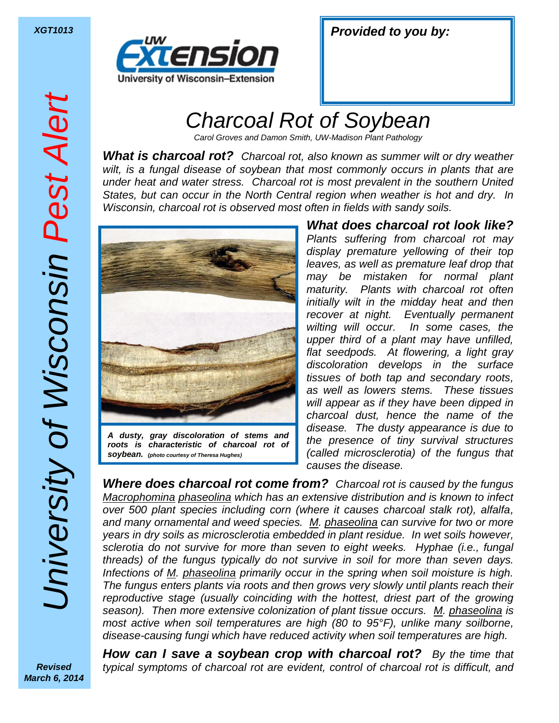

| <b>XGT1013</b> | <b>Provided to you by:</b> |  |  |
|----------------|----------------------------|--|--|
|----------------|----------------------------|--|--|

## *Charcoal Rot of Soybean*

*Carol Groves and Damon Smith, UW-Madison Plant Pathology*

*What is charcoal rot? Charcoal rot, also known as summer wilt or dry weather wilt, is a fungal disease of soybean that most commonly occurs in plants that are under heat and water stress. Charcoal rot is most prevalent in the southern United States, but can occur in the North Central region when weather is hot and dry. In Wisconsin, charcoal rot is observed most often in fields with sandy soils.* 



*roots is characteristic of charcoal rot of soybean. (photo courtesy of Theresa Hughes)*

*What does charcoal rot look like? Plants suffering from charcoal rot may display premature yellowing of their top leaves, as well as premature leaf drop that may be mistaken for normal plant maturity. Plants with charcoal rot often initially wilt in the midday heat and then recover at night. Eventually permanent wilting will occur. In some cases, the upper third of a plant may have unfilled, flat seedpods. At flowering, a light gray discoloration develops in the surface tissues of both tap and secondary roots, as well as lowers stems. These tissues will appear as if they have been dipped in charcoal dust, hence the name of the disease. The dusty appearance is due to the presence of tiny survival structures (called microsclerotia) of the fungus that causes the disease.* 

*Where does charcoal rot come from? Charcoal rot is caused by the fungus Macrophomina phaseolina which has an extensive distribution and is known to infect over 500 plant species including corn (where it causes charcoal stalk rot), alfalfa, and many ornamental and weed species. M. phaseolina can survive for two or more years in dry soils as microsclerotia embedded in plant residue. In wet soils however, sclerotia do not survive for more than seven to eight weeks. Hyphae (i.e., fungal threads) of the fungus typically do not survive in soil for more than seven days. Infections of M. phaseolina primarily occur in the spring when soil moisture is high. The fungus enters plants via roots and then grows very slowly until plants reach their reproductive stage (usually coinciding with the hottest, driest part of the growing season). Then more extensive colonization of plant tissue occurs. M. phaseolina is most active when soil temperatures are high (80 to 95°F), unlike many soilborne, disease-causing fungi which have reduced activity when soil temperatures are high.*

*Revised March 6, 2014*

*How can I save a soybean crop with charcoal rot? By the time that typical symptoms of charcoal rot are evident, control of charcoal rot is difficult, and*